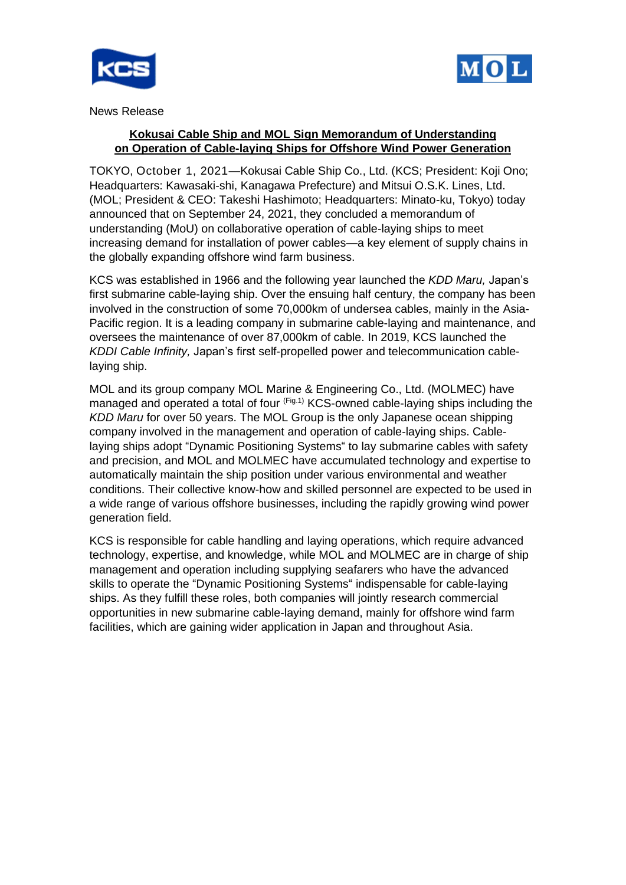



News Release

# **Kokusai Cable Ship and MOL Sign Memorandum of Understanding on Operation of Cable-laying Ships for Offshore Wind Power Generation**

TOKYO, October 1, 2021—Kokusai Cable Ship Co., Ltd. (KCS; President: Koji Ono; Headquarters: Kawasaki-shi, Kanagawa Prefecture) and Mitsui O.S.K. Lines, Ltd. (MOL; President & CEO: Takeshi Hashimoto; Headquarters: Minato-ku, Tokyo) today announced that on September 24, 2021, they concluded a memorandum of understanding (MoU) on collaborative operation of cable-laying ships to meet increasing demand for installation of power cables—a key element of supply chains in the globally expanding offshore wind farm business.

KCS was established in 1966 and the following year launched the *KDD Maru,* Japan's first submarine cable-laying ship. Over the ensuing half century, the company has been involved in the construction of some 70,000km of undersea cables, mainly in the Asia-Pacific region. It is a leading company in submarine cable-laying and maintenance, and oversees the maintenance of over 87,000km of cable. In 2019, KCS launched the *KDDI Cable Infinity,* Japan's first self-propelled power and telecommunication cablelaying ship.

MOL and its group company MOL Marine & Engineering Co., Ltd. (MOLMEC) have managed and operated a total of four (Fig.1) KCS-owned cable-laying ships including the *KDD Maru* for over 50 years. The MOL Group is the only Japanese ocean shipping company involved in the management and operation of cable-laying ships. Cablelaying ships adopt "Dynamic Positioning Systems" to lay submarine cables with safety and precision, and MOL and MOLMEC have accumulated technology and expertise to automatically maintain the ship position under various environmental and weather conditions. Their collective know-how and skilled personnel are expected to be used in a wide range of various offshore businesses, including the rapidly growing wind power generation field.

KCS is responsible for cable handling and laying operations, which require advanced technology, expertise, and knowledge, while MOL and MOLMEC are in charge of ship management and operation including supplying seafarers who have the advanced skills to operate the "Dynamic Positioning Systems" indispensable for cable-laying ships. As they fulfill these roles, both companies will jointly research commercial opportunities in new submarine cable-laying demand, mainly for offshore wind farm facilities, which are gaining wider application in Japan and throughout Asia.